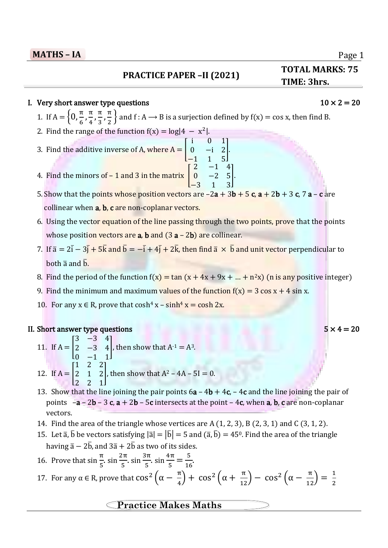l

## **PRACTICE PAPER –II (2021)**

## I. Very short answer type questions  $10 \times 2 = 20$

1. If  $A = \{0, \frac{\pi}{6}\}$  $\frac{\pi}{6}, \frac{\pi}{4}$  $\frac{\pi}{4}, \frac{\pi}{3}$  $\frac{\pi}{3}, \frac{\pi}{2}$  $\frac{\pi}{2}$  and f : A  $\rightarrow$  B is a surjection defined by f(x) = cos x, then find B.

- 2. Find the range of the function  $f(x) = log|4 x^2|$ .
- 3. Find the additive inverse of A, where  $A = |$ 0 −i 2 −1 1 5 ]. 4. Find the minors of  $-1$  and 3 in the matrix  $\vert$  $2 -1 4$
- 5. Show that the points whose position vectors are  $-2a + 3b + 5c$ ,  $a + 2b + 3c$ ,  $7a c$  are collinear when a, b, c are non-coplanar vectors.
- 6. Using the vector equation of the line passing through the two points, prove that the points whose position vectors are **a**, **b** and  $(3 a - 2b)$  are collinear.
- 7. If  $\bar{a} = 2\bar{i} 3\bar{j} + 5\bar{k}$  and  $\bar{b} = -\bar{i} + 4\bar{j} + 2\bar{k}$ , then find  $\bar{a} \times \bar{b}$  and unit vector perpendicular to both  $\overline{a}$  and  $\overline{b}$ .
- 8. Find the period of the function  $f(x) = \tan (x + 4x + 9x + ... + n^2x)$  (n is any positive integer)
- 9. Find the minimum and maximum values of the function  $f(x) = 3 \cos x + 4 \sin x$ .
- 10. For any  $x \in R$ , prove that  $cosh^4 x sinh^4 x = cosh 2x$ .

## II. Short answer type questions  $5 \times 4 = 20$

- 11. If  $A = |$ 3 −3 4  $2 -3 4$ 0 −1 1 , then show that  $A^{-1} = A^3$ . 12. If  $A = |$ 1 2 2 2 1 2 2 2 1 , then show that  $A^2 - 4A - 5I = 0$ .
- 13. Show that the line joining the pair points  $6a 4b + 4c$ ,  $4c$  and the line joining the pair of points  $-a - 2b - 3c$ ,  $a + 2b - 5c$  intersects at the point  $-4c$ , when a, b, c are non-coplanar vectors.
- 14. Find the area of the triangle whose vertices are A (1, 2, 3), B (2, 3, 1) and C (3, 1, 2).
- 15. Let  $\bar{a}$ ,  $\bar{b}$  be vectors satisfying  $|\bar{a}| = |\bar{b}| = 5$  and  $(\bar{a}, \bar{b}) = 45^{\circ}$ . Find the area of the triangle having  $\bar{a} - 2\bar{b}$ , and  $3\bar{a} + 2\bar{b}$  as two of its sides.
- 16. Prove that  $\sin \frac{\pi}{5}$ ,  $\sin \frac{2\pi}{5}$  $\frac{2\pi}{5}$ . sin  $\frac{3\pi}{5}$  $\frac{3\pi}{5}$ . sin  $\frac{4\pi}{5}$  $\frac{1\pi}{5} = \frac{5}{16}$  $\frac{3}{16}$

17. For any 
$$
\alpha \in \mathbb{R}
$$
, prove that  $\cos^2\left(\alpha - \frac{\pi}{4}\right) + \cos^2\left(\alpha + \frac{\pi}{12}\right) - \cos^2\left(\alpha - \frac{\pi}{12}\right) = \frac{1}{2}$ 

# **Practice Makes Maths**

# Page 1

**TOTAL MARKS: 75**

**- IA TIME: 3hrs.**

# i 0 1  $0 -2 5$ −3 1 3 ].